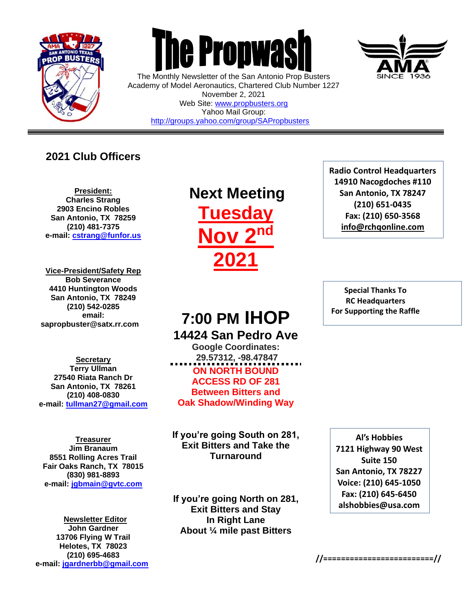

 $\overline{a}$ 



The Monthly Newsletter of the San Antonio Prop Busters Academy of Model Aeronautics, Chartered Club Number 1227 November 2, 2021 Web Site: [www.propbusters.org](http://www.propbusters.org/) Yahoo Mail Group: <http://groups.yahoo.com/group/SAPropbusters>

### **2021 Club Officers**

**President: Charles Strang 2903 Encino Robles San Antonio, TX 78259 (210) 481-7375 e-mail: [cstrang@funfor.us](mailto:cstrang@funfor.us)**

**Vice-President/Safety Rep Bob Severance 4410 Huntington Woods San Antonio, TX 78249 (210) 542-0285 email: sapropbuster@satx.rr.com**

**Secretary Terry Ullman 27540 Riata Ranch Dr San Antonio, TX 78261 (210) 408-0830 e-mail: [tullman27@gmail.com](mailto:tullman27@gmail.com)**

**Treasurer Jim Branaum 8551 Rolling Acres Trail Fair Oaks Ranch, TX 78015 (830) 981-8893 e-mail: [jgbmain@gvtc.com](mailto:jgbmain@gvtc.com)**

**Newsletter Editor John Gardner 13706 Flying W Trail Helotes, TX 78023 (210) 695-4683 e-mail: [jgardnerbb@gmail.com](mailto:jgardnerbb@gmail.com)**

## **Next Meeting Tuesday Nov 2nd 2021**

## **7:00 PM IHOP 14424 San Pedro Ave**

**Google Coordinates: 29.57312, -98.47847 ON NORTH BOUND ACCESS RD OF 281 Between Bitters and Oak Shadow/Winding Way**

**If you're going South on 281, Exit Bitters and Take the Turnaround**

**If you're going North on 281, Exit Bitters and Stay In Right Lane About ¼ mile past Bitters**

**Radio Control Headquarters 14910 Nacogdoches #110 San Antonio, TX 78247 (210) 651-0435 Fax: (210) 650-3568 [info@rchqonline.com](mailto:info@rchqonline.com)**

**Special Thanks To RC Headquarters For Supporting the Raffle**

**Al's Hobbies 7121 Highway 90 West Suite 150 San Antonio, TX 78227 Voice: (210) 645-1050 Fax: (210) 645-6450 alshobbies@usa.com**



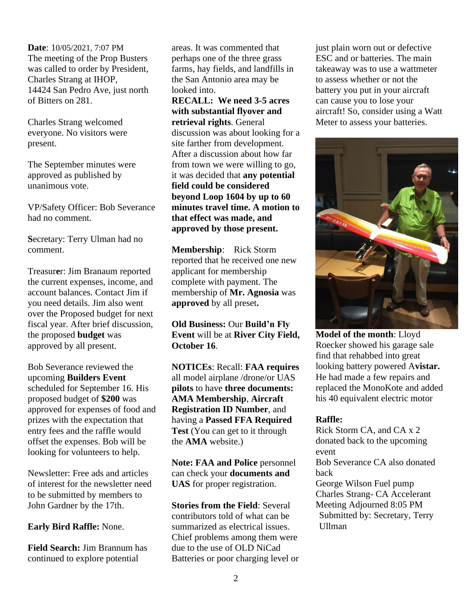**Date**: 10/05/2021, 7:07 PM The meeting of the Prop Busters was called to order by President, Charles Strang at IHOP, 14424 San Pedro Ave, just north of Bitters on 281.

Charles Strang welcomed everyone. No visitors were present.

The September minutes were approved as published by unanimous vote.

VP/Safety Officer: Bob Severance had no comment.

**S**ecretary: Terry Ulman had no comment.

Treasur**e**r: Jim Branaum reported the current expenses, income, and account balances. Contact Jim if you need details. Jim also went over the Proposed budget for next fiscal year. After brief discussion, the proposed **budget** was approved by all present.

Bob Severance reviewed the upcoming **Builders Event** scheduled for September 16. His proposed budget of **\$200** was approved for expenses of food and prizes with the expectation that entry fees and the raffle would offset the expenses. Bob will be looking for volunteers to help.

Newsletter: Free ads and articles of interest for the newsletter need to be submitted by members to John Gardner by the 17th.

**Early Bird Raffle:** None.

**Field Search:** Jim Brannum has continued to explore potential

areas. It was commented that perhaps one of the three grass farms, hay fields, and landfills in the San Antonio area may be looked into.

**RECALL: We need 3-5 acres with substantial flyover and retrieval rights**. General discussion was about looking for a site farther from development. After a discussion about how far from town we were willing to go, it was decided that **any potential field could be considered beyond Loop 1604 by up to 60 minutes travel time. A motion to that effect was made, and approved by those present.** 

**Membership**: Rick Storm reported that he received one new applicant for membership complete with payment. The membership of **Mr. Agnosia** was **approved** by all preset**.**

**Old Business:** Our **Build'n Fly Event** will be at **River City Field, October 16**.

**NOTICEs**: Recall: **FAA requires** all model airplane /drone/or UAS **pilots** to have **three documents: AMA Membership**, **Aircraft Registration ID Number**, and having a **Passed FFA Required Test** (You can get to it through the **AMA** website.)

**Note: FAA and Police** personnel can check your **documents and UAS** for proper registration.

**Stories from the Field**: Several contributors told of what can be summarized as electrical issues. Chief problems among them were due to the use of OLD NiCad Batteries or poor charging level or just plain worn out or defective ESC and or batteries. The main takeaway was to use a wattmeter to assess whether or not the battery you put in your aircraft can cause you to lose your aircraft! So, consider using a Watt Meter to assess your batteries.



**Model of the month**: Lloyd Roecker showed his garage sale find that rehabbed into great looking battery powered A**vistar.**  He had made a few repairs and replaced the MonoKote and added his 40 equivalent electric motor

#### **Raffle:**

Rick Storm CA, and CA x 2 donated back to the upcoming event Bob Severance CA also donated back George Wilson Fuel pump Charles Strang- CA Accelerant Meeting Adjourned 8:05 PM Submitted by: Secretary, Terry Ullman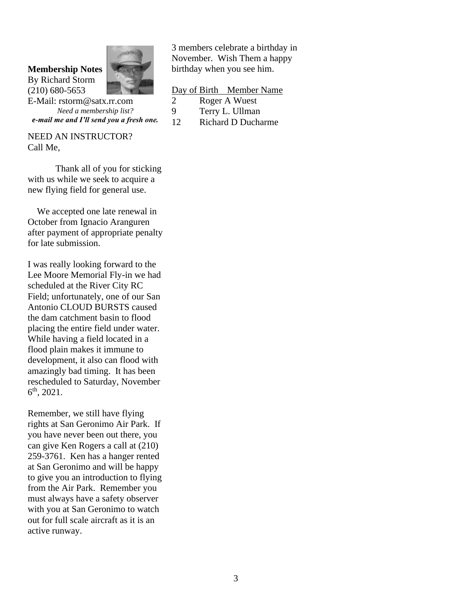#### **Membership Notes** By Richard Storm

(210) 680-5653



E-Mail: rstorm@satx.rr.com *Need a membership list? e-mail me and I'll send you a fresh one.*

NEED AN INSTRUCTOR? Call Me,

Thank all of you for sticking with us while we seek to acquire a new flying field for general use.

 We accepted one late renewal in October from Ignacio Aranguren after payment of appropriate penalty for late submission.

I was really looking forward to the Lee Moore Memorial Fly-in we had scheduled at the River City RC Field; unfortunately, one of our San Antonio CLOUD BURSTS caused the dam catchment basin to flood placing the entire field under water. While having a field located in a flood plain makes it immune to development, it also can flood with amazingly bad timing. It has been rescheduled to Saturday, November  $6^{\text{th}}$ , 2021.

Remember, we still have flying rights at San Geronimo Air Park. If you have never been out there, you can give Ken Rogers a call at (210) 259-3761. Ken has a hanger rented at San Geronimo and will be happy to give you an introduction to flying from the Air Park. Remember you must always have a safety observer with you at San Geronimo to watch out for full scale aircraft as it is an active runway.

3 members celebrate a birthday in November. Wish Them a happy birthday when you see him.

#### Day of Birth Member Name

- 2 Roger A Wuest
- 9 Terry L. Ullman
- 12 Richard D Ducharme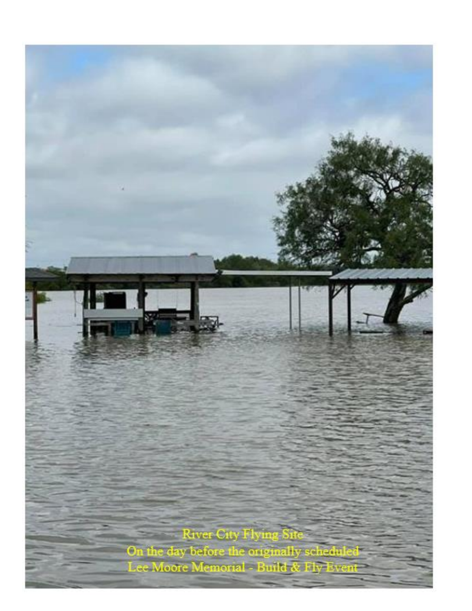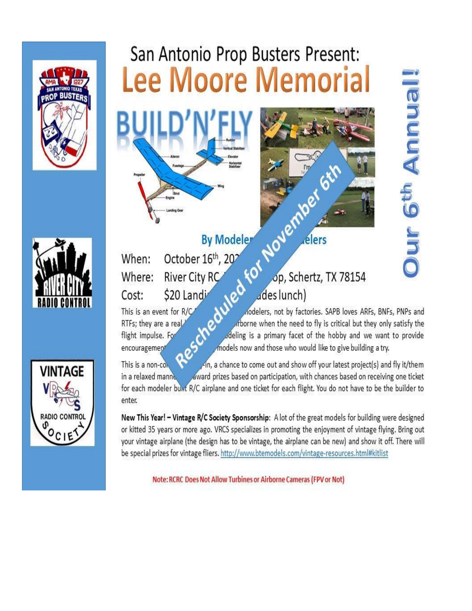

# San Antonio Prop Busters Present: **Lee Moore Memorial**





## **By Modeler**

October 16th, 202 When: River City RC Where: \$20 Landi Cost:

This is an event for  $R/C$ 

RTFs; they are a real

flight impulse. For

encouragement

for November op, Schertz, TX 78154 ades lunch)

ders

escheduled nodelers, not by factories. SAPB loves ARFs, BNFs, PNPs and arborne when the need to fly is critical but they only satisfy the odeling is a primary facet of the hobby and we want to provide models now and those who would like to give building a try.

This is a non-co In, a chance to come out and show off your latest project(s) and fly it/them in a relaxed manne award prizes based on participation, with chances based on receiving one ticket for each modeler bunt R/C airplane and one ticket for each flight. You do not have to be the builder to enter.

New This Year! - Vintage R/C Society Sponsorship: A lot of the great models for building were designed or kitted 35 years or more ago. VRCS specializes in promoting the enjoyment of vintage flying. Bring out your vintage airplane (the design has to be vintage, the airplane can be new) and show it off. There will be special prizes for vintage fliers. http://www.btemodels.com/vintage-resources.html#kitlist

Note: RCRC Does Not Allow Turbines or Airborne Cameras (FPV or Not)